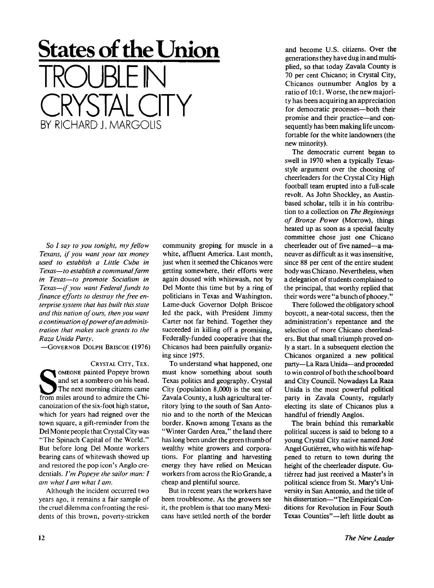## **States of the Union**  TROUBLE IN CRYSTAL CITY BY RICHARD J. MARGOLIS

*So I say to you tonight, my fellow Texans, if you want your tax money used to establish a Little Cuba in Texas—to establish a communal farm in Texas—to promote Socialism in Texas—if you want Federal funds to finance efforts to destroy the free enterprise system that has built this state and this nation of ours, then you want a continuation of power of an administration that makes such grants to the Raza Unida Party.* 

-GOVERNOR DOLPH BRISCOE (1976)

CRYSTAL CITY, TEX. SOMEONE painted Popeye brown<br>
and set a sombrero on his head.<br>
The next morning citizens came<br>
from miles around to admire the Chi-OMEONE painted Popeye brown and set a sombrero on his head. The next morning citizens came canoization of the six-foot high statue, which for years had reigned over the town square, a gift-reminder from the Del Monte people that Crystal City was "The Spinach Capital of the World. " But before long Del Monte workers bearing cans of whitewash showed up and restored the pop icon's Anglo credentials. *I'm Popeye the sailor man: I am what I am what I am.* 

Although the incident occurred two years ago, it remains a fair sample of the cruel dilemma confronting the residents of this brown, poverty-stricken

community groping for muscle in a white, affluent America. Last month, just when it seemed the Chicanos were getting somewhere, their efforts were again doused with whitewash, not by Del Monte this time but by a ring of politicians in Texas and Washington. Lame-duck Governor Dolph Briscoe led the pack, with President Jimmy Carter not far behind. Together they succeeded in killing off a promising, Federally-funded cooperative that the Chicanos had been painfully organizing since 1975.

To understand what happened, one must know something about south Texas politics and geography. Crystal City (population 8,000) is the seat of Zavala County, a lush agricultural territory lying to the south of San Antonio and to the north of the Mexican border. Known among Texans as the "Winter Garden Area," the land there has long been under the green thumb of wealthy white growers and corporations. For planting and harvesting energy they have relied on Mexican workers from across the Rio Grande, a cheap and plentiful source.

But in recent years the workers have been troublesome. As the growers see it, the problem is that too many Mexicans have settled north of the border

and become U.S. citizens. Over the generations they have dug in and multiplied, so that today Zavala County is 70 per cent Chicano; in Crystal City, Chicanos outnumber Anglos by a ratio of 10:1. Worse, the new majority has been acquiring an appreciation for democratic processes—both their promise and their practice—and consequently has been making life uncomfortable for the white landowners (the new minority).

The democratic current began to swell in 1970 when a typically Texasstyle argument over the choosing of cheerleaders for the Crystal City High football team erupted into a full-scale revolt. As John Shockley, an Austinbased scholar, tells it in his contribution to a collection on *The Beginnings of Bronze Power* (Morrow), things heated up as soon as a special faculty committee chose just one Chicano cheerleader out of five named—a maneuver as difficult as it was insensitive, since 88 per cent of the entire student body was Chicano. Nevertheless, when a delegation of students complained to the principal, that worthy replied that their words were " a bunch of phooey."

There followed the obligatory school boycott, a near-total success, then the administration's repentance and the selection of more Chicano cheerleaders. But that small triumph proved only a start. In a subsequent election the Chicanos organized a new political party—La Raza Unida—and proceeded to win control of both the school board and City Council. Nowadays La Raza Unida is the most powerful political party in Zavala County, regularly electing its slate of Chicanos plus a handful of friendly Anglos.

The brain behind this remarkable political success is said to belong to a young Crystal City native named Jose Angel Gutiérrez, who with his wife happened to return to town during the height of the cheerleader dispute. Gutierrez had just received a Master's in political science from St. Mary's University in San Antonio, and the title of his dissertation—"The Empirical Conditions for Revolution in Four South Texas Counties"—left little doubt as